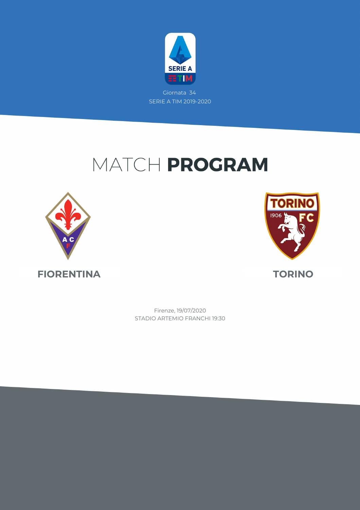

## MATCH PROGRAM





STADIO ARTEMIO FRANCHI 19:30 Firenze, 19/07/2020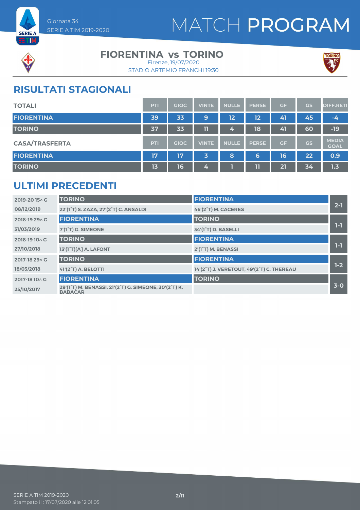



#### **FIORENTINA vs TORINO**

STADIO ARTEMIO FRANCHI 19:30 Firenze, 19/07/2020



### **RISULTATI STAGIONALI**

| <b>TOTALI</b>         | PTI        | <b>GIOC</b> | <b>VINTE</b> | <b>NULLE</b> | <b>PERSE</b> | <b>GF</b> | GS        | <b>DIFF.RETI</b>            |
|-----------------------|------------|-------------|--------------|--------------|--------------|-----------|-----------|-----------------------------|
| <b>FIORENTINA</b>     | 39         | 33          | 9            | 12           | 12           | 41        | 45        | $-4$                        |
| <b>TORINO</b>         | 37         | 33          | 11           | 4,           | 18           | 41        | 60        | $-19$                       |
| <b>CASA/TRASFERTA</b> | <b>PTI</b> | <b>GIOC</b> | <b>VINTE</b> | <b>NULLE</b> | <b>PERSE</b> | <b>GF</b> | <b>GS</b> | <b>MEDIA</b><br><b>GOAL</b> |
| <b>FIORENTINA</b>     | 17         | 17          | 3            | 8            | 6            | 16        | 22        | 0.9                         |
| <b>TORINO</b>         | 13         | 16          | 4            |              | 11           | 21        | 34        | 1.3                         |

### **ULTIMI PRECEDENTI**

| 2019-2015^G    | <b>TORINO</b>                                                           | <b>FIORENTINA</b>                         |         |
|----------------|-------------------------------------------------------------------------|-------------------------------------------|---------|
| 08/12/2019     | 22'(1 <sup>°</sup> T) S. ZAZA, 27'(2 <sup>°</sup> T) C. ANSALDI         | 46'(2°T) M. CACERES                       | $2 - 1$ |
| 2018-19 29 ^ G | <b>FIORENTINA</b>                                                       | <b>TORINO</b>                             |         |
| 31/03/2019     | 7'(1 <sup>°</sup> T) G. SIMEONE                                         | 34'(1 <sup>°</sup> T) D. BASELLI          | $1-1$   |
| 2018-19 10 \ G | <b>TORINO</b>                                                           | <b>FIORENTINA</b>                         |         |
| 27/10/2018     | 13'(1°T)[A] A. LAFONT                                                   | 2'(1°T) M. BENASSI                        | $1-1$   |
| 2017-18 29 \ G | <b>TORINO</b>                                                           | <b>FIORENTINA</b>                         |         |
| 18/03/2018     | 41'(2 <sup>°</sup> T) A. BELOTTI                                        | 14'(2°T) J. VERETOUT, 49'(2°T) C. THEREAU | $1-2$   |
| 2017-18 10 \ G | <b>FIORENTINA</b>                                                       | <b>TORINO</b>                             |         |
| 25/10/2017     | 29'(1°T) M. BENASSI, 21'(2°T) G. SIMEONE, 30'(2°T) K.<br><b>BABACAR</b> |                                           | $3-0$   |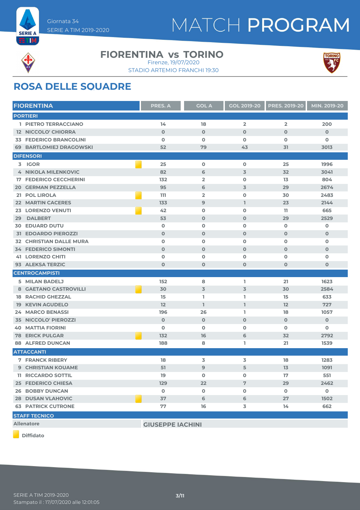



#### **FIORENTINA vs TORINO** Firenze, 19/07/2020

STADIO ARTEMIO FRANCHI 19:30



### **ROSA DELLE SQUADRE**

| <b>FIORENTINA</b>              | <b>PRES. A</b>          | <b>GOL A</b>            | <b>GOL 2019-20</b>      | <b>PRES. 2019-20</b> | MIN. 2019-20 |
|--------------------------------|-------------------------|-------------------------|-------------------------|----------------------|--------------|
| <b>PORTIERI</b>                |                         |                         |                         |                      |              |
| 1 PIETRO TERRACCIANO           | 14                      | 18                      | $\overline{\mathbf{2}}$ | $\overline{2}$       | 200          |
| <b>12 NICCOLO' CHIORRA</b>     | $\mathbf 0$             | $\mathbf 0$             | $\mathbf 0$             | $\mathbf 0$          | $\mathbf 0$  |
| <b>33 FEDERICO BRANCOLINI</b>  | $\mathbf 0$             | $\mathbf 0$             | 0                       | $\mathbf 0$          | 0            |
| <b>69 BARTLOMIEJ DRAGOWSKI</b> | 52                      | 79                      | 43                      | 31                   | 3013         |
| <b>DIFENSORI</b>               |                         |                         |                         |                      |              |
| 3 IGOR                         | 25                      | $\mathbf 0$             | $\mathbf 0$             | 25                   | 1996         |
| <b>4 NIKOLA MILENKOVIC</b>     | 82                      | 6                       | 3                       | 32                   | 3041         |
| <b>17 FEDERICO CECCHERINI</b>  | 132                     | $\overline{2}$          | 0                       | 13                   | 804          |
| <b>20 GERMAN PEZZELLA</b>      | 95                      | 6                       | 3                       | 29                   | 2674         |
| 21 POL LIROLA                  | 111                     | $\overline{\mathbf{2}}$ | 0                       | 30                   | 2483         |
| <b>22 MARTIN CACERES</b>       | 133                     | 9                       | L                       | 23                   | 2144         |
| <b>23 LORENZO VENUTI</b>       | 42                      | O                       | $\mathbf 0$             | 11                   | 665          |
| <b>DALBERT</b><br>29           | 53                      | $\mathbf 0$             | $\mathbf 0$             | 29                   | 2529         |
| <b>30 EDUARD DUTU</b>          | $\mathbf 0$             | $\mathbf 0$             | $\mathbf 0$             | $\mathbf 0$          | 0            |
| <b>31 EDOARDO PIEROZZI</b>     | $\mathbf 0$             | $\mathbf 0$             | $\mathbf 0$             | $\mathbf 0$          | $\mathbf 0$  |
| <b>32 CHRISTIAN DALLE MURA</b> | $\mathbf 0$             | $\mathbf 0$             | 0                       | $\mathbf 0$          | 0            |
| <b>34 FEDERICO SIMONTI</b>     | $\mathbf 0$             | $\mathbf 0$             | $\mathbf 0$             | $\mathbf 0$          | $\mathbf 0$  |
| <b>41 LORENZO CHITI</b>        | $\mathbf 0$             | O                       | 0                       | $\mathbf o$          | 0            |
| 93 ALEKSA TERZIC               | $\mathbf 0$             | $\mathbf 0$             | $\mathbf{O}$            | $\mathbf{O}$         | $\mathbf 0$  |
| <b>CENTROCAMPISTI</b>          |                         |                         |                         |                      |              |
| 5 MILAN BADELJ                 | 152                     | 8                       | L                       | 21                   | 1623         |
| 8 GAETANO CASTROVILLI          | 30                      | $\overline{3}$          | 3                       | 30                   | 2584         |
| <b>18 RACHID GHEZZAL</b>       | 15                      | L                       | L                       | 15                   | 633          |
| <b>19 KEVIN AGUDELO</b>        | 12                      | $\mathbf{I}$            | $\mathbb{I}$            | 12                   | 727          |
| <b>24 MARCO BENASSI</b>        | 196                     | 26                      | L                       | 18                   | 1057         |
| <b>35 NICCOLO' PIEROZZI</b>    | $\mathbf 0$             | $\mathbf 0$             | $\mathbf 0$             | $\mathbf 0$          | $\mathbf 0$  |
| <b>40 MATTIA FIORINI</b>       | $\mathbf{o}$            | O                       | 0                       | $\mathbf 0$          | 0            |
| <b>78 ERICK PULGAR</b>         | 132                     | 16                      | 6                       | 32                   | 2792         |
| <b>88 ALFRED DUNCAN</b>        | 188                     | 8                       | L                       | 21                   | 1539         |
| <b>ATTACCANTI</b>              |                         |                         |                         |                      |              |
| <b>7 FRANCK RIBERY</b>         | 18                      | 3                       | 3                       | 18                   | 1283         |
| <b>9 CHRISTIAN KOUAME</b>      | 51                      | 9                       | 5                       | 13                   | 1091         |
| <b>11 RICCARDO SOTTIL</b>      | 19                      | $\mathbf 0$             | 0                       | 17                   | 551          |
| <b>25 FEDERICO CHIESA</b>      | 129                     | 22                      | $\overline{7}$          | 29                   | 2462         |
| <b>26 BOBBY DUNCAN</b>         | $\mathbf 0$             | $\mathbf 0$             | 0                       | $\mathbf 0$          | $\mathbf 0$  |
| <b>28 DUSAN VLAHOVIC</b>       | 37                      | 6                       | 6                       | 27                   | 1502         |
| <b>63 PATRICK CUTRONE</b>      | 77                      | 16                      | 3                       | 14                   | 662          |
| <b>STAFF TECNICO</b>           |                         |                         |                         |                      |              |
| <b>Allenatore</b>              | <b>GIUSEPPE IACHINI</b> |                         |                         |                      |              |
|                                |                         |                         |                         |                      |              |

**Diffidato**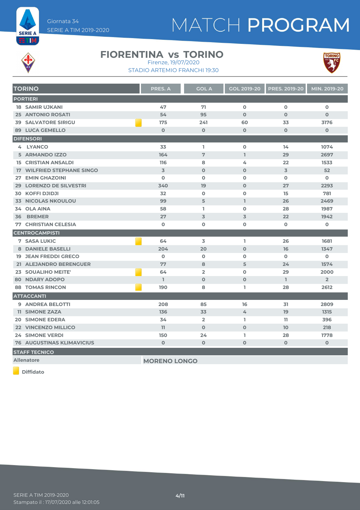

# MATCH PROGRAM



#### **FIORENTINA vs TORINO** Firenze, 19/07/2020

STADIO ARTEMIO FRANCHI 19:30



| <b>TORINO</b>                     | <b>PRES. A</b>      | <b>GOL A</b>   | <b>GOL 2019-20</b> | <b>PRES. 2019-20</b> | MIN. 2019-20   |
|-----------------------------------|---------------------|----------------|--------------------|----------------------|----------------|
| <b>PORTIERI</b>                   |                     |                |                    |                      |                |
| <b>18 SAMIR UJKANI</b>            | 47                  | 71             | $\mathbf 0$        | $\Omega$             | $\mathbf 0$    |
| <b>25 ANTONIO ROSATI</b>          | 54                  | 95             | $\Omega$           | $\Omega$             | $\mathbf{O}$   |
| <b>39 SALVATORE SIRIGU</b>        | 175                 | 241            | 60                 | 33                   | 3176           |
| <b>89 LUCA GEMELLO</b>            | $\mathbf 0$         | $\mathbf 0$    | $\mathbf 0$        | $\mathbf{O}$         | $\mathbf 0$    |
| <b>DIFENSORI</b>                  |                     |                |                    |                      |                |
| 4 LYANCO                          | 33                  | L.             | $\mathbf 0$        | 14                   | 1074           |
| 5 ARMANDO IZZO                    | 164                 | 7              | $\mathbf{L}$       | 29                   | 2697           |
| <b>15 CRISTIAN ANSALDI</b>        | 116                 | 8              | 4                  | 22                   | 1533           |
| <b>17 WILFRIED STEPHANE SINGO</b> | $\overline{3}$      | $\Omega$       | $\Omega$           | $\overline{3}$       | 52             |
| <b>27 EMIN GHAZOINI</b>           | $\Omega$            | $\Omega$       | $\mathbf 0$        | $\Omega$             | $\mathbf 0$    |
| 29 LORENZO DE SILVESTRI           | 340                 | 19             | $\mathbf 0$        | 27                   | 2293           |
| <b>30 KOFFI DJIDJI</b>            | 32                  | $\mathbf 0$    | $\mathbf 0$        | 15                   | 781            |
| <b>33 NICOLAS NKOULOU</b>         | 99                  | 5              | L                  | 26                   | 2469           |
| 34 OLA AINA                       | 58                  | L.             | $\mathbf{O}$       | 28                   | 1987           |
| <b>BREMER</b><br>36               | 27                  | 3              | 3                  | 22                   | 1942           |
| <b>77 CHRISTIAN CELESIA</b>       | $\mathbf 0$         | $\mathbf o$    | $\mathbf 0$        | $\mathbf{o}$         | 0              |
| <b>CENTROCAMPISTI</b>             |                     |                |                    |                      |                |
| <b>7 SASA LUKIC</b>               | 64                  | 3              | L                  | 26                   | 1681           |
| <b>8 DANIELE BASELLI</b>          | 204                 | 20             | $\mathbf 0$        | 16                   | 1347           |
| <b>19 JEAN FREDDI GRECO</b>       | $\mathbf 0$         | $\mathbf 0$    | $\mathbf 0$        | $\mathbf 0$          | 0              |
| 21 ALEJANDRO BERENGUER            | 77                  | 8              | 5                  | 24                   | 1574           |
| 23 SOUALIHO MEITE'                | 64                  | $\overline{2}$ | $\mathbf 0$        | 29                   | 2000           |
| <b>80 NDARY ADOPO</b>             | L.                  | $\mathbf 0$    | $\Omega$           | I.                   | $\overline{2}$ |
| <b>88 TOMAS RINCON</b>            | 190                 | 8              | ı.                 | 28                   | 2612           |
| <b>ATTACCANTI</b>                 |                     |                |                    |                      |                |
| 9 ANDREA BELOTTI                  | 208                 | 85             | 16                 | 31                   | 2809           |
| <b>11 SIMONE ZAZA</b>             | 136                 | 33             | 4                  | 19                   | 1315           |
| <b>20 SIMONE EDERA</b>            | 34                  | $\overline{2}$ | L.                 | 11.                  | 396            |
| 22 VINCENZO MILLICO               | 11                  | $\Omega$       | $\mathbf{O}$       | 10                   | 218            |
| <b>24 SIMONE VERDI</b>            | 150                 | 24             | I.                 | 28                   | 1778           |
| <b>76 AUGUSTINAS KLIMAVICIUS</b>  | $\mathbf 0$         | $\mathbf{O}$   | 0                  | $\mathbf 0$          | $\mathbf 0$    |
| <b>STAFF TECNICO</b>              |                     |                |                    |                      |                |
| <b>Allenatore</b>                 | <b>MORENO LONGO</b> |                |                    |                      |                |

**Diffidato**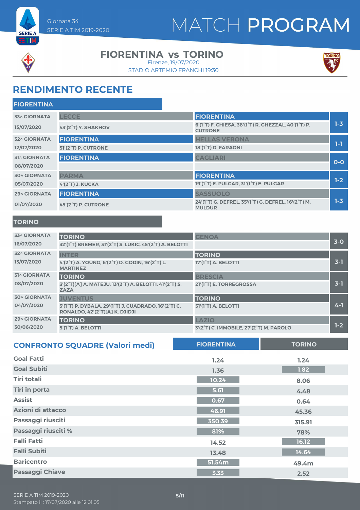



#### **FIORENTINA vs TORINO**

STADIO ARTEMIO FRANCHI 19:30 Firenze, 19/07/2020



### **RENDIMENTO RECENTE**

| <b>FIORENTINA</b>   |                     |                                                                                                              |         |
|---------------------|---------------------|--------------------------------------------------------------------------------------------------------------|---------|
| <b>33^ GIORNATA</b> | <b>LECCE</b>        | <b>FIORENTINA</b>                                                                                            |         |
| 15/07/2020          | 43'(2°T) Y. SHAKHOV | 6'(1 <sup>°</sup> T) F. CHIESA, 38'(1 <sup>°</sup> T) R. GHEZZAL, 40'(1 <sup>°</sup> T) P.<br><b>CUTRONE</b> | $1 - 3$ |
| <b>32^ GIORNATA</b> | <b>FIORENTINA</b>   | <b>HELLAS VERONA</b>                                                                                         |         |
| 12/07/2020          | 51'(2°T) P. CUTRONE | 18'(1°T) D. FARAONI                                                                                          | $1-1$   |
| <b>31^ GIORNATA</b> | <b>FIORENTINA</b>   | <b>CAGLIARI</b>                                                                                              |         |
| 08/07/2020          |                     |                                                                                                              | $O-O$   |
| <b>30^ GIORNATA</b> | <b>PARMA</b>        | <b>FIORENTINA</b>                                                                                            |         |
| 05/07/2020          | 4'(2°T) J. KUCKA    | 19'(1 <sup>°</sup> T) E. PULGAR, 31'(1 <sup>°</sup> T) E. PULGAR                                             | $1-2$   |
| 29^ GIORNATA        | <b>FIORENTINA</b>   | <b>SASSUOLO</b>                                                                                              |         |
| 01/07/2020          | 45'(2°T) P. CUTRONE | 24'(1°T) G. DEFREL, 35'(1°T) G. DEFREL, 16'(2°T) M.<br><b>MULDUR</b>                                         | $1 - 3$ |
|                     |                     |                                                                                                              |         |

#### **TORINO**

| <b>33^ GIORNATA</b><br>16/07/2020 | <b>TORINO</b><br>32'(1 <sup>°</sup> T) BREMER, 31'(2 <sup>°</sup> T) S. LUKIC, 45'(2 <sup>°</sup> T) A. BELOTTI | <b>GENOA</b>                            | $3-0$   |
|-----------------------------------|-----------------------------------------------------------------------------------------------------------------|-----------------------------------------|---------|
| <b>32^ GIORNATA</b>               | <b>INTER</b>                                                                                                    | <b>TORINO</b>                           |         |
| 13/07/2020                        | 4'(2°T) A. YOUNG, 6'(2°T) D. GODIN, 16'(2°T) L.<br><b>MARTINEZ</b>                                              | 17'(1 <sup>°</sup> T) A. BELOTTI        | $3-1$   |
| <b>31^ GIORNATA</b>               | <b>TORINO</b>                                                                                                   | <b>BRESCIA</b>                          |         |
| 08/07/2020                        | 3'(2°T)[A] A. MATEJU, 13'(2°T) A. BELOTTI, 41'(2°T) S.<br><b>ZAZA</b>                                           | 21'(1 <sup>°</sup> T) E. TORREGROSSA    | $3 - 1$ |
| <b>30^ GIORNATA</b>               | <b>JUVENTUS</b>                                                                                                 | <b>TORINO</b>                           |         |
| 04/07/2020                        | 3'(1°T) P. DYBALA, 29'(1°T) J. CUADRADO, 16'(2°T) C.<br>RONALDO, 42'(2 <sup>°</sup> T)[A] K. DJIDJI             | 51'(1 <sup>°</sup> T) A. BELOTTI        | $4 - 1$ |
| <b>29^ GIORNATA</b>               | <b>TORINO</b>                                                                                                   | LAZIO                                   |         |
| 30/06/2020                        | 5'(1 <sup>°</sup> T) A. BELOTTI                                                                                 | 3'(2°T) C. IMMOBILE, 27'(2°T) M. PAROLO | $1-2$   |

| <b>CONFRONTO SQUADRE (Valori medi)</b> | <b>FIORENTINA</b> | <b>TORINO</b> |
|----------------------------------------|-------------------|---------------|
| <b>Goal Fatti</b>                      | 1.24              | 1.24          |
| <b>Goal Subiti</b>                     | 1.36              | 1.82          |
| <b>Tiri totali</b>                     | 10.24             | 8.06          |
| <b>Tiri in porta</b>                   | 5.61              | 4.48          |
| <b>Assist</b>                          | 0.67              | 0.64          |
| Azioni di attacco                      | 46.91             | 45.36         |
| Passaggi riusciti                      | 350.39            | 315.91        |
| Passaggi riusciti %                    | 81%               | 78%           |
| <b>Falli Fatti</b>                     | 14.52             | 16.12         |
| <b>Falli Subiti</b>                    | 13.48             | 14.64         |
| <b>Baricentro</b>                      | 51.54m            | 49.4m         |
| <b>Passaggi Chiave</b>                 | 3.33              | 2.52          |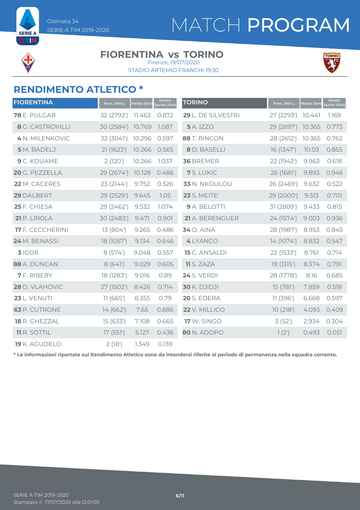

**ETM** 

#### **FIORENTINA vs TORINO** Firenze, 19/07/2020

STADIO ARTEMIO FRANCHI 19:30



### **RENDIMENTO ATLETICO \***

| <b>FIORENTINA</b>       | Pres. (Min.) | Media (km) | Media<br>print (Km) | <b>TORINO</b>        | Pres. (Min.) | Media (km) | Media<br>Sprint (Km) |
|-------------------------|--------------|------------|---------------------|----------------------|--------------|------------|----------------------|
| <b>78</b> E. PULGAR     | 32 (2792')   | 11.463     | 0.872               | 29 L. DE SILVESTRI   | 27 (2293')   | 10.441     | 1.169                |
| <b>8</b> G. CASTROVILLI | 30 (2584')   | 10.769     | 1.087               | <b>5</b> A. IZZO     | 29 (2697')   | 10.365     | 0.773                |
| 4 N. MILENKOVIC         | 32 (3041')   | 10.296     | 0.597               | 88 T. RINCON         | 28 (2612')   | 10.365     | 0.762                |
| 5 M. BADELJ             | 21 (1623')   | 10.266     | 0.565               | 8 D. BASELLI         | 16 (1347')   | 10.03      | 0.855                |
| 9 C. KOUAME             | 2(120')      | 10.266     | 1.037               | 36 BREMER            | 22 (1942')   | 9.963      | 0.618                |
| 20 G. PEZZELLA          | 29 (2674')   | 10.128     | 0.486               | 7 S. LUKIC           | 26 (1681')   | 9.893      | 0.946                |
| 22 M. CACERES           | 23 (2144')   | 9.752      | 0.526               | 33 N. NKOULOU        | 26 (2469')   | 9.632      | 0.522                |
| 29 DALBERT              | 29 (2529')   | 9.645      | 1.05                | <b>23</b> S. MEITE'  | 29 (2000')   | 9.513      | 0.701                |
| 25 F. CHIESA            | 29 (2462')   | 9.532      | 1.074               | 9 A. BELOTTI         | 31 (2809')   | 9.433      | 0.815                |
| 21 P. LIROLA            | 30 (2483')   | 9.471      | 0.901               | 21 A. BERENGUER      | 24 (1574')   | 9.003      | 0.936                |
| <b>17</b> F. CECCHERINI | 13 (804')    | 9.265      | 0.486               | 34 O. AINA           | 28 (1987')   | 8.953      | 0.845                |
| 24 M. BENASSI           | 18 (1057')   | 9.134      | 0.646               | 4 LYANCO             | 14 (1074')   | 8.832      | 0.547                |
| $3$ IGOR                | 8(574)       | 9.048      | 0.557               | <b>15</b> C. ANSALDI | 22 (1533')   | 8.761      | 0.714                |
| 88 A. DUNCAN            | 8(641)       | 9.029      | 0.605               | <b>11</b> S. ZAZA    | 19(1315)     | 8.374      | 0.791                |
| <b>7</b> F. RIBERY      | 18 (1283')   | 9.016      | 0.89                | <b>24 S. VERDI</b>   | 28 (1778')   | 8.16       | 0.685                |
| 28 D. VLAHOVIC          | 27 (1502')   | 8.426      | 0.714               | <b>30 K. DJIDJI</b>  | 15 (781')    | 7.859      | 0.518                |
| <b>23 L. VENUTI</b>     | 11(665)      | 8.355      | 0.79                | 20 S. EDERA          | 11(396)      | 6.668      | 0.597                |
| <b>63</b> P. CUTRONE    | 14(662)      | 7.65       | 0.886               | 22 V. MILLICO        | 10(218)      | 4.093      | 0.409                |
| 18 R. GHEZZAL           | 15(633)      | 7.108      | 0.665               | <b>17</b> W. SINGO   | 3(52)        | 2.934      | 0.304                |
| <b>11 R. SOTTIL</b>     | 17(551)      | 5.127      | 0.436               | 80 N. ADOPO          | 1(2')        | 0.493      | 0.051                |
| <b>19</b> K. AGUDELO    | 2(18)        | 1.349      | 0.139               |                      |              |            |                      |

**\* Le informazioni riportate sul Rendimento Atletico sono da intendersi riferite al periodo di permanenza nella squadra corrente.**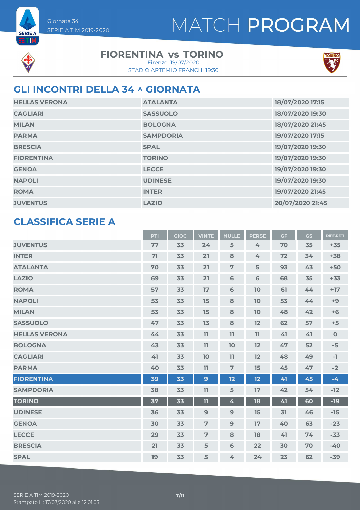

**SERIE A ETIM** 

### **FIORENTINA vs TORINO**

STADIO ARTEMIO FRANCHI 19:30 Firenze, 19/07/2020



### **GLI INCONTRI DELLA 34 ^ GIORNATA**

| <b>HELLAS VERONA</b> | <b>ATALANTA</b>  | 18/07/2020 17:15 |
|----------------------|------------------|------------------|
| <b>CAGLIARI</b>      | <b>SASSUOLO</b>  | 18/07/2020 19:30 |
| <b>MILAN</b>         | <b>BOLOGNA</b>   | 18/07/2020 21:45 |
| <b>PARMA</b>         | <b>SAMPDORIA</b> | 19/07/2020 17:15 |
| <b>BRESCIA</b>       | <b>SPAL</b>      | 19/07/2020 19:30 |
| <b>FIORENTINA</b>    | <b>TORINO</b>    | 19/07/2020 19:30 |
| <b>GENOA</b>         | <b>LECCE</b>     | 19/07/2020 19:30 |
| <b>NAPOLI</b>        | <b>UDINESE</b>   | 19/07/2020 19:30 |
| <b>ROMA</b>          | <b>INTER</b>     | 19/07/2020 21:45 |
| <b>JUVENTUS</b>      | <b>LAZIO</b>     | 20/07/2020 21:45 |

#### **CLASSIFICA SERIE A**

|                      | <b>PTI</b> | <b>GIOC</b> | <b>VINTE</b>   | <b>NULLE</b>   | <b>PERSE</b>   | <b>GF</b> | <b>GS</b> | <b>DIFF.RETI</b> |
|----------------------|------------|-------------|----------------|----------------|----------------|-----------|-----------|------------------|
| <b>JUVENTUS</b>      | 77         | 33          | 24             | 5              | 4              | 70        | 35        | $+35$            |
| <b>INTER</b>         | 71         | 33          | 21             | 8              | 4              | 72        | 34        | $+38$            |
| <b>ATALANTA</b>      | 70         | 33          | 21             | $\overline{7}$ | 5              | 93        | 43        | $+50$            |
| <b>LAZIO</b>         | 69         | 33          | 21             | 6              | $6\phantom{1}$ | 68        | 35        | $+33$            |
| <b>ROMA</b>          | 57         | 33          | 17             | 6              | 10             | 61        | 44        | $+17$            |
| <b>NAPOLI</b>        | 53         | 33          | 15             | 8              | 10             | 53        | 44        | $+9$             |
| <b>MILAN</b>         | 53         | 33          | 15             | 8              | 10             | 48        | 42        | $+6$             |
| <b>SASSUOLO</b>      | 47         | 33          | 13             | 8              | 12             | 62        | 57        | $+5$             |
| <b>HELLAS VERONA</b> | 44         | 33          | 11             | 11             | 11             | 41        | 41        | $\mathbf 0$      |
| <b>BOLOGNA</b>       | 43         | 33          | 11             | 10             | 12             | 47        | 52        | $-5$             |
| <b>CAGLIARI</b>      | 41         | 33          | 10             | 11             | 12             | 48        | 49        | $-1$             |
| <b>PARMA</b>         | 40         | 33          | 11             | $\overline{7}$ | 15             | 45        | 47        | $-2$             |
| <b>FIORENTINA</b>    | 39         | 33          | $\mathbf{9}$   | 12             | 12             | 41        | 45        | $-4$             |
| <b>SAMPDORIA</b>     | 38         | 33          | 11             | 5              | 17             | 42        | 54        | $-12$            |
| <b>TORINO</b>        | 37         | 33          | 11             | 4              | 18             | 41        | 60        | $-19$            |
| <b>UDINESE</b>       | 36         | 33          | 9              | 9              | 15             | 31        | 46        | $-15$            |
| <b>GENOA</b>         | 30         | 33          | 7              | 9              | 17             | 40        | 63        | $-23$            |
| <b>LECCE</b>         | 29         | 33          | $\overline{7}$ | 8              | 18             | 41        | 74        | $-33$            |
| <b>BRESCIA</b>       | 21         | 33          | 5              | 6              | 22             | 30        | 70        | $-40$            |
| <b>SPAL</b>          | 19         | 33          | 5              | 4              | 24             | 23        | 62        | $-39$            |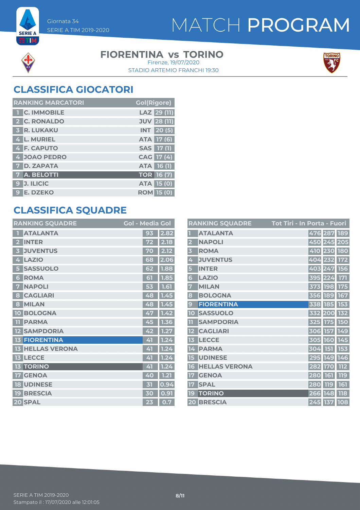



**SERIE A ETM** 

#### **FIORENTINA vs TORINO**

STADIO ARTEMIO FRANCHI 19:30 Firenze, 19/07/2020



### **CLASSIFICA GIOCATORI**

| <b>RANKING MARCATORI</b> | <b>Gol(Rigore)</b> |
|--------------------------|--------------------|
| <b>T C. IMMOBILE</b>     | LAZ 29 (11)        |
| 2 C. RONALDO             | <b>JUV 28 (11)</b> |
| <b>3 R. LUKAKU</b>       | <b>INT</b> 20 (5)  |
| 4 L. MURIEL              | <b>ATA 17 (6)</b>  |
| 4 F. CAPUTO              | SAS 17 (1)         |
| 4 JOAO PEDRO             | CAG 17 (4)         |
| <b>7 D. ZAPATA</b>       | <b>ATA 16 (1)</b>  |
| 7 A. BELOTTI             | <b>TOR 16 (7)</b>  |
| <b>J. ILICIC</b><br>9    | <b>ATA 15 (0)</b>  |
| 9 E. DZEKO               | <b>ROM 15 (0)</b>  |

### **CLASSIFICA SQUADRE**

| <b>RANKING SQUADRE</b>     | <b>Gol - Media Gol</b> |      |
|----------------------------|------------------------|------|
| <b>ATALANTA</b>            | 93                     | 2.82 |
| <b>INTER</b>               | 72                     | 2.18 |
| <b>JUVENTUS</b><br>3       | 70                     | 2.12 |
| <b>LAZIO</b><br>4          | 68                     | 2.06 |
| <b>SASSUOLO</b><br>5       | 62                     | 1.88 |
| <b>ROMA</b><br>6           | 61                     | 1.85 |
| <b>NAPOLI</b><br>7         | 53                     | 1.61 |
| <b>CAGLIARI</b><br>8       | 48                     | 1.45 |
| <b>MILAN</b><br>8          | 48                     | 1.45 |
| <b>BOLOGNA</b><br>10       | 47                     | 1.42 |
| <b>PARMA</b><br>11         | 45                     | 1.36 |
| <b>SAMPDORIA</b><br>12     | 42                     | 1.27 |
| <b>FIORENTINA</b>          | 41                     | 1.24 |
| <b>HELLAS VERONA</b><br>13 | 41                     | 1.24 |
| <b>LECCE</b><br>13         | 41                     | 1.24 |
| <b>TORINO</b><br>13        | 41                     | 1.24 |
| <b>GENOA</b><br>17         | 40                     | 1.21 |
| <b>UDINESE</b><br>18       | 内                      | 0.94 |
| <b>BRESCIA</b><br>19       | 30                     | 0.91 |
| 20 SPAL                    | 23                     | 0.7  |

|                         | <b>RANKING SQUADRE</b> | Tot Tiri - In Porta - Fuori |            |             |             |
|-------------------------|------------------------|-----------------------------|------------|-------------|-------------|
|                         | <b>ATALANTA</b>        |                             |            | 476 287 189 |             |
| $\overline{\mathbf{2}}$ | <b>NAPOLI</b>          |                             |            |             | 450 245 205 |
| $\overline{\mathbf{3}}$ | <b>ROMA</b>            |                             |            | 410 230 180 |             |
| 4                       | <b>JUVENTUS</b>        |                             |            | 404 232 172 |             |
| 5                       | <b>INTER</b>           |                             |            |             | 403 247 156 |
| 6                       | <b>LAZIO</b>           |                             |            | 395 224 171 |             |
| 7                       | <b>MILAN</b>           |                             |            | 373 198 175 |             |
| 8                       | <b>BOLOGNA</b>         |                             |            | 356 189 167 |             |
| 9                       | <b>FIORENTINA</b>      |                             |            | 338 185 153 |             |
| 10                      | <b>SASSUOLO</b>        |                             |            | 332 200 132 |             |
| 11                      | <b>SAMPDORIA</b>       |                             |            | 325 175 150 |             |
| 12                      | <b>CAGLIARI</b>        |                             |            | 306 157 149 |             |
| 13                      | <b>LECCE</b>           |                             |            | 305 160 145 |             |
| 14                      | <b>PARMA</b>           |                             |            | 304 151 153 |             |
| 15                      | <b>UDINESE</b>         |                             |            |             | 295 149 146 |
| 16                      | <b>HELLAS VERONA</b>   |                             |            | 282 170     | 112         |
| 17                      | <b>GENOA</b>           |                             | 280        | 161         | 119         |
| 17                      | <b>SPAL</b>            |                             | <b>280</b> | <b>119</b>  | 161         |
| 19                      | <b>TORINO</b>          |                             |            | 266 148     | <b>118</b>  |
|                         | 20 BRESCIA             |                             |            | 245 137 108 |             |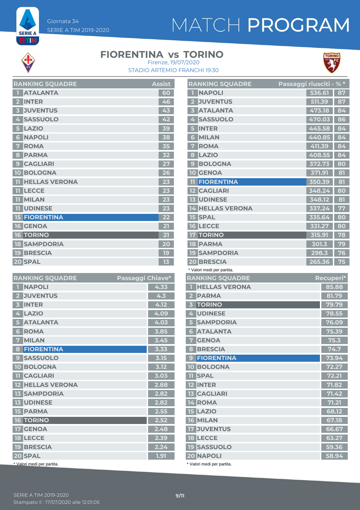# MATCH PROGRAM



**SERIE A** ETM

#### **FIORENTINA vs TORINO**



STADIO ARTEMIO FRANCHI 19:30 Firenze, 19/07/2020

|                         | <b>RAINNINU SUUADRE</b> | дээгч |
|-------------------------|-------------------------|-------|
| П                       | <b>ATALANTA</b>         | 60    |
| $\overline{\mathbf{2}}$ | <b>INTER</b>            | 46    |
| 3                       | <b>JUVENTUS</b>         | 43    |
| 4                       | <b>SASSUOLO</b>         | 42    |
| 5                       | <b>LAZIO</b>            | 39    |
| 6                       | <b>NAPOLI</b>           | 38    |
| 7                       | <b>ROMA</b>             | 35    |
| 8                       | <b>PARMA</b>            | 32    |
| $\mathbf{Q}$            | <b>CAGLIARI</b>         | 27    |
|                         | <b>10 BOLOGNA</b>       | 26    |
|                         | <b>HELLAS VERONA</b>    | 23    |
|                         | <b>TT LECCE</b>         | 23    |
|                         | <b>TI MILAN</b>         | 23    |
|                         | <b>TI UDINESE</b>       | 23    |
|                         | <b>15 FIORENTINA</b>    | 22    |
|                         | <b>16 GENOA</b>         | 21    |
|                         | <b>16 TORINO</b>        | 21    |
|                         | <b>18 SAMPDORIA</b>     | 20    |
|                         | <b>19 BRESCIA</b>       | 19    |
|                         | 20 SPAL                 | 13    |

**RANKING SQUADDE** Assistant Assistant Assistant Assistant Assistant Assistant Assistant Assistant Assistant Assistant Assistant Assistant Assistant Assistant Assistant Assistant Assistant Assistant Assistant Assistant Assi

| <b>RANKING SQUADRE</b>     | Passaggi Chiave* |
|----------------------------|------------------|
| <b>NAPOLI</b>              | 4.33             |
| <b>JUVENTUS</b>            | 4.3              |
| <b>INTER</b><br>3          | 4.12             |
| <b>LAZIO</b><br>4          | 4.09             |
| <b>ATALANTA</b>            | 4.03             |
| <b>ROMA</b><br>6           | 3.85             |
| <b>MILAN</b><br>7          | 3.45             |
| <b>FIORENTINA</b><br>8     | 3.33             |
| <b>SASSUOLO</b><br>9       | 3.15             |
| <b>10 BOLOGNA</b>          | 3.12             |
| <b>TI CAGLIARI</b>         | 3.03             |
| <b>12 HELLAS VERONA</b>    | 2.88             |
| <b>13 SAMPDORIA</b>        | 2.82             |
| <b>13 UDINESE</b>          | 2.82             |
| <b>15 PARMA</b>            | 2.55             |
| <b>16 TORINO</b>           | 2.52             |
| <b>17 GENOA</b>            | 2.48             |
| <b>18 LECCE</b>            | 2.39             |
| <b>19 BRESCIA</b>          | 2.24             |
| 20 SPAL                    | 1.91             |
| * Valori medi per partita. |                  |

|                          | <b>RANKING SQUADRE</b>                 | Passaggi riusciti - % * |        |       |                |
|--------------------------|----------------------------------------|-------------------------|--------|-------|----------------|
| П                        | <b>NAPOLI</b>                          |                         | 536.61 |       | 87             |
| 2 <sup>1</sup>           | <b>JUVENTUS</b>                        |                         | 511.39 |       | 87             |
| 3.                       | <b>ATALANTA</b>                        |                         | 473.18 |       | 84             |
| 4                        | <b>SASSUOLO</b>                        |                         | 470.03 |       | 86             |
|                          | <b>INTER</b>                           |                         | 445.58 |       | 84             |
| 6.                       | <b>MILAN</b>                           |                         | 440.85 |       | 84             |
| 7                        | <b>ROMA</b>                            |                         | 411.39 |       | 84             |
| 8                        | <b>LAZIO</b>                           |                         | 408.55 |       | 84             |
| 9                        | <b>BOLOGNA</b>                         |                         | 372.73 |       | 80             |
| 10                       | <b>GENOA</b>                           |                         | 371.91 |       | 81             |
|                          | <b>11 FIORENTINA</b>                   |                         | 350.39 |       | 81             |
|                          | <b>12 CAGLIARI</b>                     |                         | 348.24 |       | 80             |
|                          | <b>13 UDINESE</b>                      |                         | 348.12 |       | 81             |
|                          | <b>14 HELLAS VERONA</b>                |                         | 337.24 |       | 77             |
|                          | <b>15 SPAL</b>                         |                         | 335.64 |       | 80             |
|                          | <b>16 LECCE</b>                        |                         | 331.27 |       | 80             |
|                          | <b>17 TORINO</b>                       |                         | 315.91 |       | 78             |
|                          | <b>18 PARMA</b>                        |                         | 301.3  |       | 79             |
|                          | <b>19 SAMPDORIA</b>                    |                         | 298.3  |       | 76             |
|                          | <b>20 BRESCIA</b>                      |                         | 265.36 |       | 75             |
|                          | * Valori medi per partita.             |                         |        |       |                |
|                          | <b>RANKING SQUADRE</b>                 |                         |        |       | Recuperi*      |
| $\overline{\phantom{a}}$ | <b>HELLAS VERONA</b>                   |                         |        |       | 85.88          |
| $\overline{\mathbf{2}}$  | <b>PARMA</b>                           |                         |        |       | 81.79          |
| 3 <sup>7</sup>           | <b>TORINO</b>                          |                         |        |       | 79.79          |
|                          | 4 UDINESE                              |                         |        |       | 78.55          |
| 5 <sub>5</sub>           | <b>SAMPDORIA</b>                       |                         |        |       | 76.09          |
| $6\overline{6}$          | <b>ATALANTA</b>                        |                         |        |       | 75.39          |
| $\overline{7}$           | <b>GENOA</b>                           |                         |        |       | 75.3           |
| 8                        | <b>BRESCIA</b>                         |                         |        |       | 74.7           |
|                          | <b>9 FIORENTINA</b>                    |                         |        |       | 73.94          |
|                          | <b>10 BOLOGNA</b>                      |                         |        |       | 72.27          |
|                          | <b>TI SPAL</b>                         |                         |        |       | 72.21          |
|                          | <b>12 INTER</b>                        |                         |        |       | 71.82          |
|                          |                                        |                         |        |       |                |
|                          | <b>13 CAGLIARI</b>                     |                         |        | 71.42 |                |
|                          | 14 ROMA                                |                         |        |       | 71.21          |
|                          | <b>15 LAZIO</b>                        |                         |        |       | 68.12          |
|                          | <b>16 MILAN</b>                        |                         |        |       | 67.18          |
|                          | <b>17 JUVENTUS</b>                     |                         |        |       | 66.67          |
|                          | <b>18 LECCE</b>                        |                         |        |       | 63.27          |
|                          | <b>19 SASSUOLO</b><br><b>20 NAPOLI</b> |                         |        |       | 59.36<br>58.94 |

\* Valori medi per partita.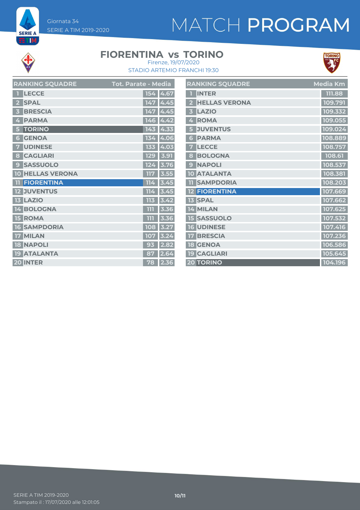# MATCH PROGRAM



**SERIE A ET M** 

### **FIORENTINA vs TORINO**



STADIO ARTEMIO FRANCHI 19:30 Firenze, 19/07/2020

and the

| <b>RANKING SQUADRE</b>  | <b>Tot. Parate - Media</b> | <b>RANKING SQUADRE</b> | <b>Media Km</b> |
|-------------------------|----------------------------|------------------------|-----------------|
| <b>1</b> LECCE          | 154 4.67                   | <b>T</b> INTER         | 111.88          |
| 2 SPAL                  | 147 4.45                   | 2 HELLAS VERONA        | 109.791         |
| 3 BRESCIA               | 147 4.45                   | 3 LAZIO                | 109.332         |
| 4 PARMA                 | 146 4.42                   | 4 ROMA                 | 109.055         |
| 5 TORINO                | $143$ 4.33                 | <b>5 JUVENTUS</b>      | 109.024         |
| <b>6 GENOA</b>          | 134 4.06                   | <b>6 PARMA</b>         | 108.889         |
| <b>7 UDINESE</b>        | 133 4.03                   | 7 LECCE                | 108.757         |
| 8 CAGLIARI              | 129   3.91                 | 8 BOLOGNA              | 108.61          |
| <b>9 SASSUOLO</b>       | 124 3.76                   | 9 NAPOLI               | 108.537         |
| <b>10 HELLAS VERONA</b> | $117$ 3.55                 | <b>10 ATALANTA</b>     | 108.381         |
| <b>11 FIORENTINA</b>    | $114$ 3.45                 | <b>TI SAMPDORIA</b>    | 108.203         |
| <b>12 JUVENTUS</b>      | 114 3.45                   | <b>12 FIORENTINA</b>   | 107.669         |
| <b>13 LAZIO</b>         | $113$ 3.42                 | <b>13 SPAL</b>         | 107.662         |
| 14 BOLOGNA              | 111 3.36                   | 14 MILAN               | 107.625         |
| 15 ROMA                 | $111$ 3.36                 | <b>15 SASSUOLO</b>     | 107.532         |
| <b>16 SAMPDORIA</b>     | 108 3.27                   | 16 UDINESE             | 107.416         |
| 17 MILAN                | 107 3.24                   | <b>17 BRESCIA</b>      | 107.236         |
| <b>18 NAPOLI</b>        | $93$ 2.82                  | <b>18 GENOA</b>        | 106.586         |
| 19 ATALANTA             | 87 2.64                    | <b>19 CAGLIARI</b>     | 105.645         |
| 20 INTER                | 78 2.36                    | 20 TORINO              | 104.196         |